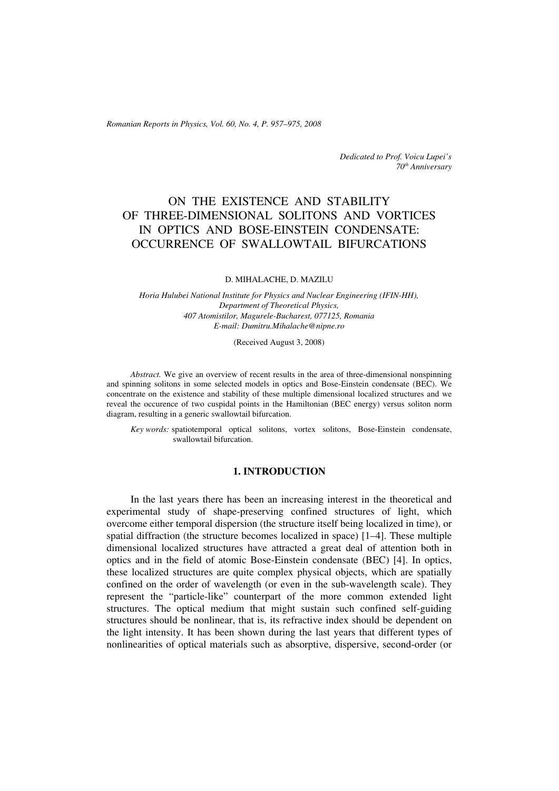*Romanian Reports in Physics, Vol. 60, No. 4, P. 957–975, 2008*

*Dedicated to Prof. Voicu Lupei's 70th Anniversary*

# ON THE EXISTENCE AND STABILITY OF THREE-DIMENSIONAL SOLITONS AND VORTICES IN OPTICS AND BOSE-EINSTEIN CONDENSATE: OCCURRENCE OF SWALLOWTAIL BIFURCATIONS

#### D. MIHALACHE, D. MAZILU

*Horia Hulubei National Institute for Physics and Nuclear Engineering (IFIN-HH), Department of Theoretical Physics, 407 Atomistilor, Magurele-Bucharest, 077125, Romania E-mail: Dumitru.Mihalache@nipne.ro*

(Received August 3, 2008)

*Abstract.* We give an overview of recent results in the area of three-dimensional nonspinning and spinning solitons in some selected models in optics and Bose-Einstein condensate (BEC). We concentrate on the existence and stability of these multiple dimensional localized structures and we reveal the occurence of two cuspidal points in the Hamiltonian (BEC energy) versus soliton norm diagram, resulting in a generic swallowtail bifurcation.

*Key words:* spatiotemporal optical solitons, vortex solitons, Bose-Einstein condensate, swallowtail bifurcation.

#### **1. INTRODUCTION**

In the last years there has been an increasing interest in the theoretical and experimental study of shape-preserving confined structures of light, which overcome either temporal dispersion (the structure itself being localized in time), or spatial diffraction (the structure becomes localized in space) [1–4]. These multiple dimensional localized structures have attracted a great deal of attention both in optics and in the field of atomic Bose-Einstein condensate (BEC) [4]. In optics, these localized structures are quite complex physical objects, which are spatially confined on the order of wavelength (or even in the sub-wavelength scale). They represent the "particle-like" counterpart of the more common extended light structures. The optical medium that might sustain such confined self-guiding structures should be nonlinear, that is, its refractive index should be dependent on the light intensity. It has been shown during the last years that different types of nonlinearities of optical materials such as absorptive, dispersive, second-order (or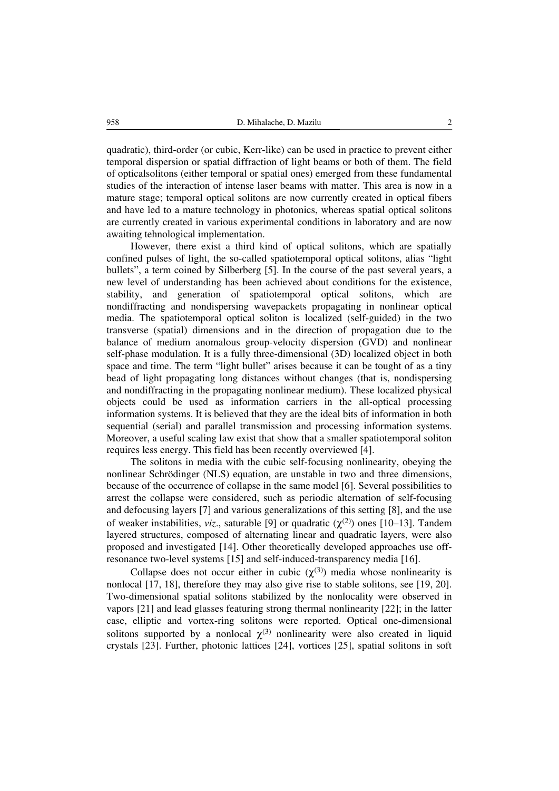quadratic), third-order (or cubic, Kerr-like) can be used in practice to prevent either temporal dispersion or spatial diffraction of light beams or both of them. The field of opticalsolitons (either temporal or spatial ones) emerged from these fundamental studies of the interaction of intense laser beams with matter. This area is now in a mature stage; temporal optical solitons are now currently created in optical fibers and have led to a mature technology in photonics, whereas spatial optical solitons are currently created in various experimental conditions in laboratory and are now awaiting tehnological implementation.

However, there exist a third kind of optical solitons, which are spatially confined pulses of light, the so-called spatiotemporal optical solitons, alias "light bullets", a term coined by Silberberg [5]. In the course of the past several years, a new level of understanding has been achieved about conditions for the existence, stability, and generation of spatiotemporal optical solitons, which are nondiffracting and nondispersing wavepackets propagating in nonlinear optical media. The spatiotemporal optical soliton is localized (self-guided) in the two transverse (spatial) dimensions and in the direction of propagation due to the balance of medium anomalous group-velocity dispersion (GVD) and nonlinear self-phase modulation. It is a fully three-dimensional (3D) localized object in both space and time. The term "light bullet" arises because it can be tought of as a tiny bead of light propagating long distances without changes (that is, nondispersing and nondiffracting in the propagating nonlinear medium). These localized physical objects could be used as information carriers in the all-optical processing information systems. It is believed that they are the ideal bits of information in both sequential (serial) and parallel transmission and processing information systems. Moreover, a useful scaling law exist that show that a smaller spatiotemporal soliton requires less energy. This field has been recently overviewed [4].

The solitons in media with the cubic self-focusing nonlinearity, obeying the nonlinear Schrödinger (NLS) equation, are unstable in two and three dimensions, because of the occurrence of collapse in the same model [6]. Several possibilities to arrest the collapse were considered, such as periodic alternation of self-focusing and defocusing layers [7] and various generalizations of this setting [8], and the use of weaker instabilities, *viz.*, saturable [9] or quadratic  $(\chi^{(2)})$  ones [10–13]. Tandem layered structures, composed of alternating linear and quadratic layers, were also proposed and investigated [14]. Other theoretically developed approaches use offresonance two-level systems [15] and self-induced-transparency media [16].

Collapse does not occur either in cubic  $(\chi^{(3)})$  media whose nonlinearity is nonlocal [17, 18], therefore they may also give rise to stable solitons, see [19, 20]. Two-dimensional spatial solitons stabilized by the nonlocality were observed in vapors [21] and lead glasses featuring strong thermal nonlinearity [22]; in the latter case, elliptic and vortex-ring solitons were reported. Optical one-dimensional solitons supported by a nonlocal  $\chi^{(3)}$  nonlinearity were also created in liquid crystals [23]. Further, photonic lattices [24], vortices [25], spatial solitons in soft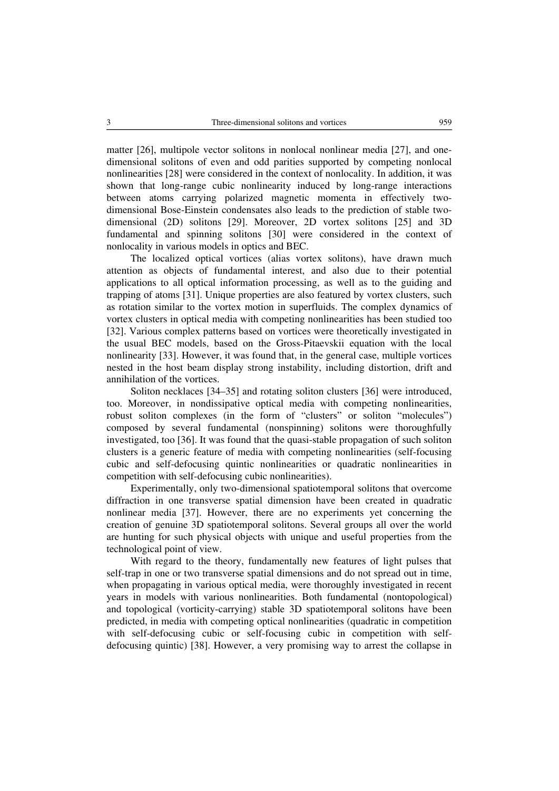matter [26], multipole vector solitons in nonlocal nonlinear media [27], and onedimensional solitons of even and odd parities supported by competing nonlocal nonlinearities [28] were considered in the context of nonlocality. In addition, it was shown that long-range cubic nonlinearity induced by long-range interactions between atoms carrying polarized magnetic momenta in effectively twodimensional Bose-Einstein condensates also leads to the prediction of stable twodimensional (2D) solitons [29]. Moreover, 2D vortex solitons [25] and 3D fundamental and spinning solitons [30] were considered in the context of nonlocality in various models in optics and BEC.

The localized optical vortices (alias vortex solitons), have drawn much attention as objects of fundamental interest, and also due to their potential applications to all optical information processing, as well as to the guiding and trapping of atoms [31]. Unique properties are also featured by vortex clusters, such as rotation similar to the vortex motion in superfluids. The complex dynamics of vortex clusters in optical media with competing nonlinearities has been studied too [32]. Various complex patterns based on vortices were theoretically investigated in the usual BEC models, based on the Gross-Pitaevskii equation with the local nonlinearity [33]. However, it was found that, in the general case, multiple vortices nested in the host beam display strong instability, including distortion, drift and annihilation of the vortices.

Soliton necklaces [34–35] and rotating soliton clusters [36] were introduced, too. Moreover, in nondissipative optical media with competing nonlinearities, robust soliton complexes (in the form of "clusters" or soliton "molecules") composed by several fundamental (nonspinning) solitons were thoroughfully investigated, too [36]. It was found that the quasi-stable propagation of such soliton clusters is a generic feature of media with competing nonlinearities (self-focusing cubic and self-defocusing quintic nonlinearities or quadratic nonlinearities in competition with self-defocusing cubic nonlinearities).

Experimentally, only two-dimensional spatiotemporal solitons that overcome diffraction in one transverse spatial dimension have been created in quadratic nonlinear media [37]. However, there are no experiments yet concerning the creation of genuine 3D spatiotemporal solitons. Several groups all over the world are hunting for such physical objects with unique and useful properties from the technological point of view.

With regard to the theory, fundamentally new features of light pulses that self-trap in one or two transverse spatial dimensions and do not spread out in time, when propagating in various optical media, were thoroughly investigated in recent years in models with various nonlinearities. Both fundamental (nontopological) and topological (vorticity-carrying) stable 3D spatiotemporal solitons have been predicted, in media with competing optical nonlinearities (quadratic in competition with self-defocusing cubic or self-focusing cubic in competition with selfdefocusing quintic) [38]. However, a very promising way to arrest the collapse in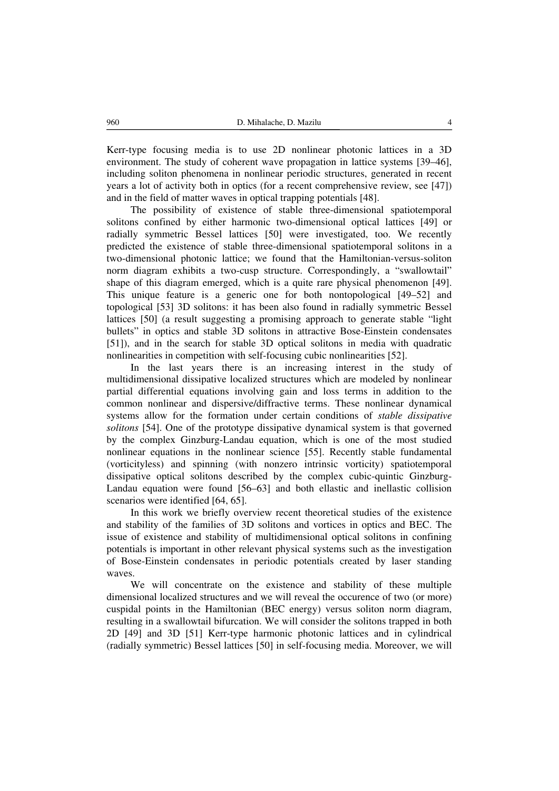Kerr-type focusing media is to use 2D nonlinear photonic lattices in a 3D environment. The study of coherent wave propagation in lattice systems [39–46], including soliton phenomena in nonlinear periodic structures, generated in recent years a lot of activity both in optics (for a recent comprehensive review, see [47]) and in the field of matter waves in optical trapping potentials [48].

The possibility of existence of stable three-dimensional spatiotemporal solitons confined by either harmonic two-dimensional optical lattices [49] or radially symmetric Bessel lattices [50] were investigated, too. We recently predicted the existence of stable three-dimensional spatiotemporal solitons in a two-dimensional photonic lattice; we found that the Hamiltonian-versus-soliton norm diagram exhibits a two-cusp structure. Correspondingly, a "swallowtail" shape of this diagram emerged, which is a quite rare physical phenomenon [49]. This unique feature is a generic one for both nontopological [49–52] and topological [53] 3D solitons: it has been also found in radially symmetric Bessel lattices [50] (a result suggesting a promising approach to generate stable "light" bullets" in optics and stable 3D solitons in attractive Bose-Einstein condensates [51]), and in the search for stable 3D optical solitons in media with quadratic nonlinearities in competition with self-focusing cubic nonlinearities [52].

In the last years there is an increasing interest in the study of multidimensional dissipative localized structures which are modeled by nonlinear partial differential equations involving gain and loss terms in addition to the common nonlinear and dispersive/diffractive terms. These nonlinear dynamical systems allow for the formation under certain conditions of *stable dissipative solitons* [54]. One of the prototype dissipative dynamical system is that governed by the complex Ginzburg-Landau equation, which is one of the most studied nonlinear equations in the nonlinear science [55]. Recently stable fundamental (vorticityless) and spinning (with nonzero intrinsic vorticity) spatiotemporal dissipative optical solitons described by the complex cubic-quintic Ginzburg-Landau equation were found [56–63] and both ellastic and inellastic collision scenarios were identified [64, 65].

In this work we briefly overview recent theoretical studies of the existence and stability of the families of 3D solitons and vortices in optics and BEC. The issue of existence and stability of multidimensional optical solitons in confining potentials is important in other relevant physical systems such as the investigation of Bose-Einstein condensates in periodic potentials created by laser standing waves.

We will concentrate on the existence and stability of these multiple dimensional localized structures and we will reveal the occurence of two (or more) cuspidal points in the Hamiltonian (BEC energy) versus soliton norm diagram, resulting in a swallowtail bifurcation. We will consider the solitons trapped in both 2D [49] and 3D [51] Kerr-type harmonic photonic lattices and in cylindrical (radially symmetric) Bessel lattices [50] in self-focusing media. Moreover, we will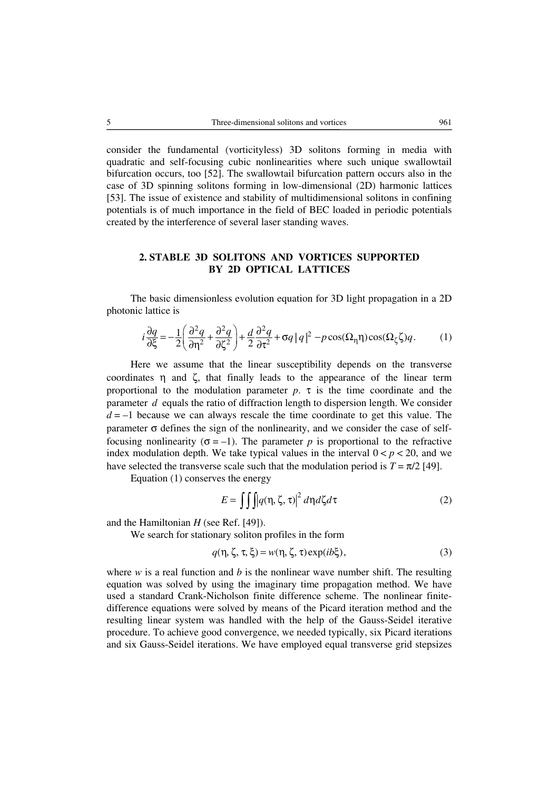consider the fundamental (vorticityless) 3D solitons forming in media with quadratic and self-focusing cubic nonlinearities where such unique swallowtail bifurcation occurs, too [52]. The swallowtail bifurcation pattern occurs also in the case of 3D spinning solitons forming in low-dimensional (2D) harmonic lattices [53]. The issue of existence and stability of multidimensional solitons in confining potentials is of much importance in the field of BEC loaded in periodic potentials created by the interference of several laser standing waves.

## **2. STABLE 3D SOLITONS AND VORTICES SUPPORTED BY 2D OPTICAL LATTICES**

The basic dimensionless evolution equation for 3D light propagation in a 2D photonic lattice is

$$
i\frac{\partial q}{\partial \xi} = -\frac{1}{2} \left( \frac{\partial^2 q}{\partial \eta^2} + \frac{\partial^2 q}{\partial \zeta^2} \right) + \frac{d}{2} \frac{\partial^2 q}{\partial \tau^2} + \sigma q \left| q \right|^2 - p \cos(\Omega_\eta \eta) \cos(\Omega_\zeta \zeta) q. \tag{1}
$$

Here we assume that the linear susceptibility depends on the transverse coordinates  $\eta$  and  $\zeta$ , that finally leads to the appearance of the linear term proportional to the modulation parameter  $p$ .  $\tau$  is the time coordinate and the parameter *d* equals the ratio of diffraction length to dispersion length. We consider  $d = -1$  because we can always rescale the time coordinate to get this value. The parameter  $\sigma$  defines the sign of the nonlinearity, and we consider the case of selffocusing nonlinearity ( $\sigma = -1$ ). The parameter *p* is proportional to the refractive index modulation depth. We take typical values in the interval  $0 < p < 20$ , and we have selected the transverse scale such that the modulation period is  $T = \pi/2$  [49].

Equation (1) conserves the energy

$$
E = \iiint q(\eta, \zeta, \tau) \vert^2 d\eta d\zeta d\tau
$$
 (2)

and the Hamiltonian *H* (see Ref. [49]).

We search for stationary soliton profiles in the form

$$
q(\eta, \zeta, \tau, \xi) = w(\eta, \zeta, \tau) \exp(i b \xi), \tag{3}
$$

where  $w$  is a real function and  $b$  is the nonlinear wave number shift. The resulting equation was solved by using the imaginary time propagation method. We have used a standard Crank-Nicholson finite difference scheme. The nonlinear finitedifference equations were solved by means of the Picard iteration method and the resulting linear system was handled with the help of the Gauss-Seidel iterative procedure. To achieve good convergence, we needed typically, six Picard iterations and six Gauss-Seidel iterations. We have employed equal transverse grid stepsizes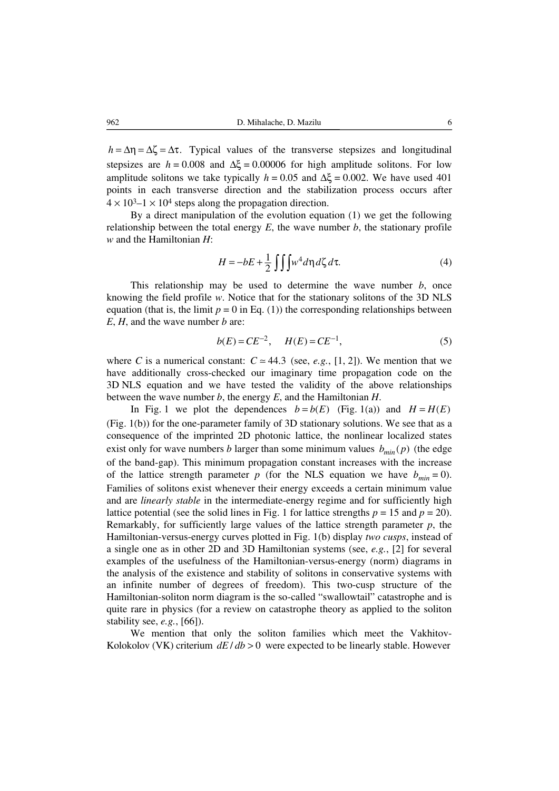$h = \Delta n = \Delta \zeta = \Delta \tau$ . Typical values of the transverse stepsizes and longitudinal stepsizes are  $h = 0.008$  and  $\Delta \xi = 0.00006$  for high amplitude solitons. For low amplitude solitons we take typically  $h = 0.05$  and  $\Delta \xi = 0.002$ . We have used 401 points in each transverse direction and the stabilization process occurs after  $4 \times 10^{3}$ –1  $\times$  10<sup>4</sup> steps along the propagation direction.

By a direct manipulation of the evolution equation (1) we get the following relationship between the total energy  $E$ , the wave number  $b$ , the stationary profile *w* and the Hamiltonian *H*:

$$
H = -bE + \frac{1}{2} \iiint w^4 d\eta \, d\zeta \, d\tau. \tag{4}
$$

This relationship may be used to determine the wave number *b*, once knowing the field profile *w*. Notice that for the stationary solitons of the 3D NLS equation (that is, the limit  $p = 0$  in Eq. (1)) the corresponding relationships between *E*, *H*, and the wave number *b* are:

$$
b(E) = CE^{-2}, \quad H(E) = CE^{-1}, \tag{5}
$$

where *C* is a numerical constant:  $C \approx 44.3$  (see, *e.g.*, [1, 2]). We mention that we have additionally cross-checked our imaginary time propagation code on the 3D NLS equation and we have tested the validity of the above relationships between the wave number *b*, the energy *E*, and the Hamiltonian *H*.

In Fig. 1 we plot the dependences  $b = b(E)$  (Fig. 1(a)) and  $H = H(E)$ (Fig. 1(b)) for the one-parameter family of 3D stationary solutions. We see that as a consequence of the imprinted 2D photonic lattice, the nonlinear localized states exist only for wave numbers *b* larger than some minimum values  $b_{min}(p)$  (the edge of the band-gap). This minimum propagation constant increases with the increase of the lattice strength parameter  $p$  (for the NLS equation we have  $b_{min} = 0$ ). Families of solitons exist whenever their energy exceeds a certain minimum value and are *linearly stable* in the intermediate-energy regime and for sufficiently high lattice potential (see the solid lines in Fig. 1 for lattice strengths  $p = 15$  and  $p = 20$ ). Remarkably, for sufficiently large values of the lattice strength parameter  $p$ , the Hamiltonian-versus-energy curves plotted in Fig. 1(b) display *two cusps*, instead of a single one as in other 2D and 3D Hamiltonian systems (see, *e.g.*, [2] for several examples of the usefulness of the Hamiltonian-versus-energy (norm) diagrams in the analysis of the existence and stability of solitons in conservative systems with an infinite number of degrees of freedom). This two-cusp structure of the Hamiltonian-soliton norm diagram is the so-called "swallowtail" catastrophe and is quite rare in physics (for a review on catastrophe theory as applied to the soliton stability see, *e.g.*, [66]).

We mention that only the soliton families which meet the Vakhitov-Kolokolov (VK) criterium  $dE/db > 0$  were expected to be linearly stable. However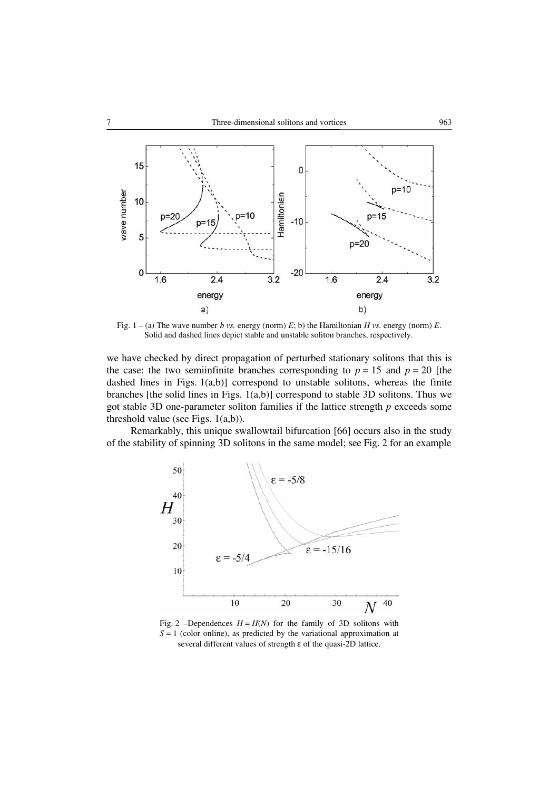

Fig.  $1 - (a)$  The wave number *b vs.* energy (norm) *E*; b) the Hamiltonian *H vs.* energy (norm) *E*. Solid and dashed lines depict stable and unstable soliton branches, respectively.

we have checked by direct propagation of perturbed stationary solitons that this is the case: the two semiinfinite branches corresponding to  $p = 15$  and  $p = 20$  [the dashed lines in Figs. 1(a,b)] correspond to unstable solitons, whereas the finite branches [the solid lines in Figs.  $1(a,b)$ ] correspond to stable 3D solitons. Thus we got stable 3D one-parameter soliton families if the lattice strength *p* exceeds some threshold value (see Figs. 1(a,b)).

Remarkably, this unique swallowtail bifurcation [66] occurs also in the study of the stability of spinning 3D solitons in the same model; see Fig. 2 for an example



Fig. 2 –Dependences  $H = H(N)$  for the family of 3D solitons with  $S = 1$  (color online), as predicted by the variational approximation at several different values of strength ε of the quasi-2D lattice.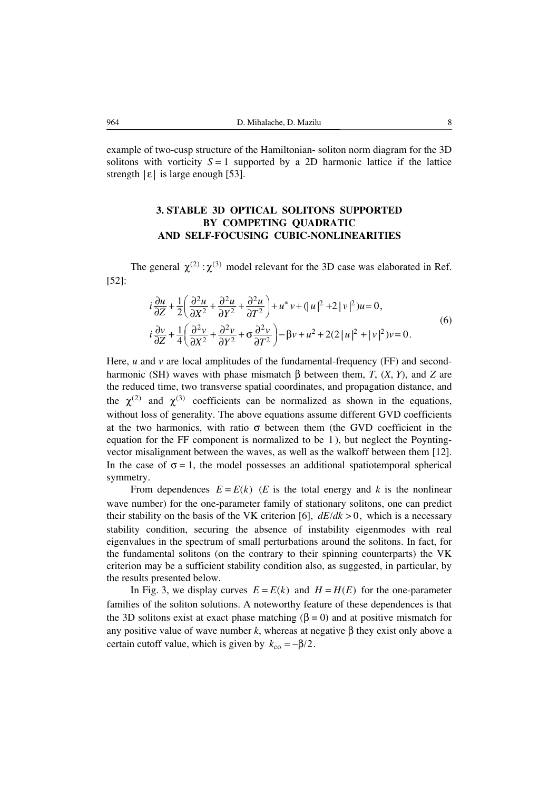example of two-cusp structure of the Hamiltonian- soliton norm diagram for the 3D solitons with vorticity  $S = 1$  supported by a 2D harmonic lattice if the lattice strength  $|\varepsilon|$  is large enough [53].

## **3. STABLE 3D OPTICAL SOLITONS SUPPORTED BY COMPETING QUADRATIC AND SELF-FOCUSING CUBIC-NONLINEARITIES**

The general  $\chi^{(2)}$  :  $\chi^{(3)}$  model relevant for the 3D case was elaborated in Ref. [52]:

$$
i\frac{\partial u}{\partial Z} + \frac{1}{2} \left( \frac{\partial^2 u}{\partial X^2} + \frac{\partial^2 u}{\partial Y^2} + \frac{\partial^2 u}{\partial T^2} \right) + u^* v + (|u|^2 + 2 |v|^2)u = 0,
$$
  
\n
$$
i\frac{\partial v}{\partial Z} + \frac{1}{4} \left( \frac{\partial^2 v}{\partial X^2} + \frac{\partial^2 v}{\partial Y^2} + \sigma \frac{\partial^2 v}{\partial T^2} \right) - \beta v + u^2 + 2(2 |u|^2 + |v|^2) v = 0.
$$
\n(6)

Here, *u* and *v* are local amplitudes of the fundamental-frequency (FF) and secondharmonic (SH) waves with phase mismatch β between them, *T*, (*X*, *Y*), and *Z* are the reduced time, two transverse spatial coordinates, and propagation distance, and the  $\chi^{(2)}$  and  $\chi^{(3)}$  coefficients can be normalized as shown in the equations, without loss of generality. The above equations assume different GVD coefficients at the two harmonics, with ratio  $\sigma$  between them (the GVD coefficient in the equation for the FF component is normalized to be 1 ), but neglect the Poyntingvector misalignment between the waves, as well as the walkoff between them [12]. In the case of  $\sigma = 1$ , the model possesses an additional spatiotemporal spherical symmetry.

From dependences  $E = E(k)$  (*E* is the total energy and *k* is the nonlinear wave number) for the one-parameter family of stationary solitons, one can predict their stability on the basis of the VK criterion [6],  $dE/dk > 0$ , which is a necessary stability condition, securing the absence of instability eigenmodes with real eigenvalues in the spectrum of small perturbations around the solitons. In fact, for the fundamental solitons (on the contrary to their spinning counterparts) the VK criterion may be a sufficient stability condition also, as suggested, in particular, by the results presented below.

In Fig. 3, we display curves  $E = E(k)$  and  $H = H(E)$  for the one-parameter families of the soliton solutions. A noteworthy feature of these dependences is that the 3D solitons exist at exact phase matching ( $\beta = 0$ ) and at positive mismatch for any positive value of wave number  $k$ , whereas at negative β they exist only above a certain cutoff value, which is given by  $k_{\text{co}} = -\beta/2$ .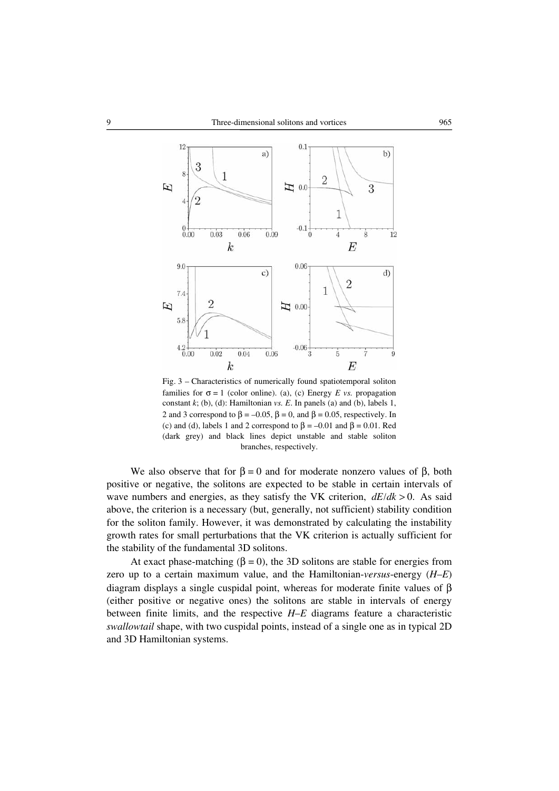

Fig. 3 – Characteristics of numerically found spatiotemporal soliton families for  $\sigma = 1$  (color online). (a), (c) Energy *E vs.* propagation constant *k*; (b), (d): Hamiltonian *vs. E*. In panels (a) and (b), labels 1, 2 and 3 correspond to  $\beta = -0.05$ ,  $\beta = 0$ , and  $\beta = 0.05$ , respectively. In (c) and (d), labels 1 and 2 correspond to  $\beta = -0.01$  and  $\beta = 0.01$ . Red (dark grey) and black lines depict unstable and stable soliton branches, respectively.

We also observe that for  $\beta = 0$  and for moderate nonzero values of  $\beta$ , both positive or negative, the solitons are expected to be stable in certain intervals of wave numbers and energies, as they satisfy the VK criterion,  $dE/dk > 0$ . As said above, the criterion is a necessary (but, generally, not sufficient) stability condition for the soliton family. However, it was demonstrated by calculating the instability growth rates for small perturbations that the VK criterion is actually sufficient for the stability of the fundamental 3D solitons.

At exact phase-matching ( $\beta = 0$ ), the 3D solitons are stable for energies from zero up to a certain maximum value, and the Hamiltonian-*versus*-energy (*H*–*E*) diagram displays a single cuspidal point, whereas for moderate finite values of β (either positive or negative ones) the solitons are stable in intervals of energy between finite limits, and the respective *H*–*E* diagrams feature a characteristic *swallowtail* shape, with two cuspidal points, instead of a single one as in typical 2D and 3D Hamiltonian systems.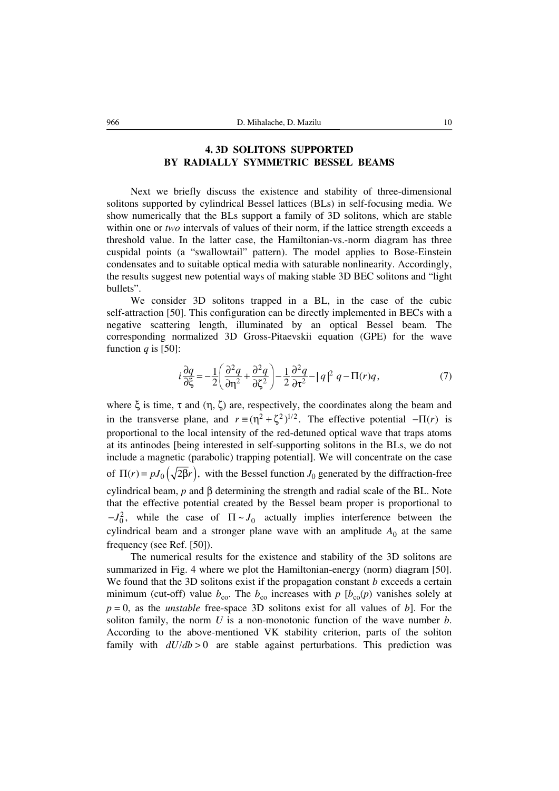### **4. 3D SOLITONS SUPPORTED BY RADIALLY SYMMETRIC BESSEL BEAMS**

Next we briefly discuss the existence and stability of three-dimensional solitons supported by cylindrical Bessel lattices (BLs) in self-focusing media. We show numerically that the BLs support a family of 3D solitons, which are stable within one or *two* intervals of values of their norm, if the lattice strength exceeds a threshold value. In the latter case, the Hamiltonian-vs.-norm diagram has three cuspidal points (a "swallowtail" pattern). The model applies to Bose-Einstein condensates and to suitable optical media with saturable nonlinearity. Accordingly, the results suggest new potential ways of making stable 3D BEC solitons and "light bullets".

We consider 3D solitons trapped in a BL, in the case of the cubic self-attraction [50]. This configuration can be directly implemented in BECs with a negative scattering length, illuminated by an optical Bessel beam. The corresponding normalized 3D Gross-Pitaevskii equation (GPE) for the wave function *q* is [50]:

$$
i\frac{\partial q}{\partial \xi} = -\frac{1}{2} \left( \frac{\partial^2 q}{\partial \eta^2} + \frac{\partial^2 q}{\partial \zeta^2} \right) - \frac{1}{2} \frac{\partial^2 q}{\partial \tau^2} - |q|^2 q - \Pi(r)q,\tag{7}
$$

where  $\xi$  is time,  $\tau$  and  $(\eta, \zeta)$  are, respectively, the coordinates along the beam and in the transverse plane, and  $r = (\eta^2 + \zeta^2)^{1/2}$ . The effective potential  $-\Pi(r)$  is proportional to the local intensity of the red-detuned optical wave that traps atoms at its antinodes [being interested in self-supporting solitons in the BLs, we do not include a magnetic (parabolic) trapping potential]. We will concentrate on the case of  $\Pi(r) = pJ_0(\sqrt{2\beta}r)$ , with the Bessel function *J*<sub>0</sub> generated by the diffraction-free cylindrical beam, *p* and β determining the strength and radial scale of the BL. Note that the effective potential created by the Bessel beam proper is proportional to  $-J_0^2$ , while the case of  $\Pi \sim J_0$  actually implies interference between the cylindrical beam and a stronger plane wave with an amplitude  $A_0$  at the same frequency (see Ref. [50]).

The numerical results for the existence and stability of the 3D solitons are summarized in Fig. 4 where we plot the Hamiltonian-energy (norm) diagram [50]. We found that the 3D solitons exist if the propagation constant *b* exceeds a certain minimum (cut-off) value  $b_{\rm co}$ . The  $b_{\rm co}$  increases with  $p$  [ $b_{\rm co}(p)$  vanishes solely at  $p = 0$ , as the *unstable* free-space 3D solitons exist for all values of *b*. For the soliton family, the norm *U* is a non-monotonic function of the wave number *b*. According to the above-mentioned VK stability criterion, parts of the soliton family with  $dU/db > 0$  are stable against perturbations. This prediction was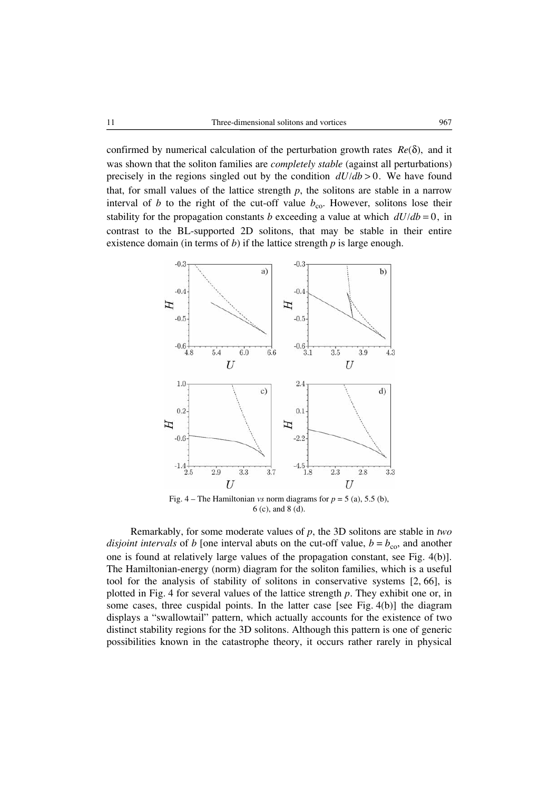confirmed by numerical calculation of the perturbation growth rates  $Re(\delta)$ , and it was shown that the soliton families are *completely stable* (against all perturbations) precisely in the regions singled out by the condition  $dU/db > 0$ . We have found that, for small values of the lattice strength  $p$ , the solitons are stable in a narrow interval of *b* to the right of the cut-off value  $b_{\text{co}}$ . However, solitons lose their stability for the propagation constants *b* exceeding a value at which  $dU/db = 0$ , in contrast to the BL-supported 2D solitons, that may be stable in their entire existence domain (in terms of *b*) if the lattice strength *p* is large enough.



Fig. 4 – The Hamiltonian *vs* norm diagrams for  $p = 5$  (a), 5.5 (b), 6 (c), and 8 (d).

Remarkably, for some moderate values of *p*, the 3D solitons are stable in *two disjoint intervals* of *b* [one interval abuts on the cut-off value,  $b = b_{\text{co}}$ , and another one is found at relatively large values of the propagation constant, see Fig. 4(b)]. The Hamiltonian-energy (norm) diagram for the soliton families, which is a useful tool for the analysis of stability of solitons in conservative systems [2, 66], is plotted in Fig. 4 for several values of the lattice strength *p*. They exhibit one or, in some cases, three cuspidal points. In the latter case [see Fig. 4(b)] the diagram displays a "swallowtail" pattern, which actually accounts for the existence of two distinct stability regions for the 3D solitons. Although this pattern is one of generic possibilities known in the catastrophe theory, it occurs rather rarely in physical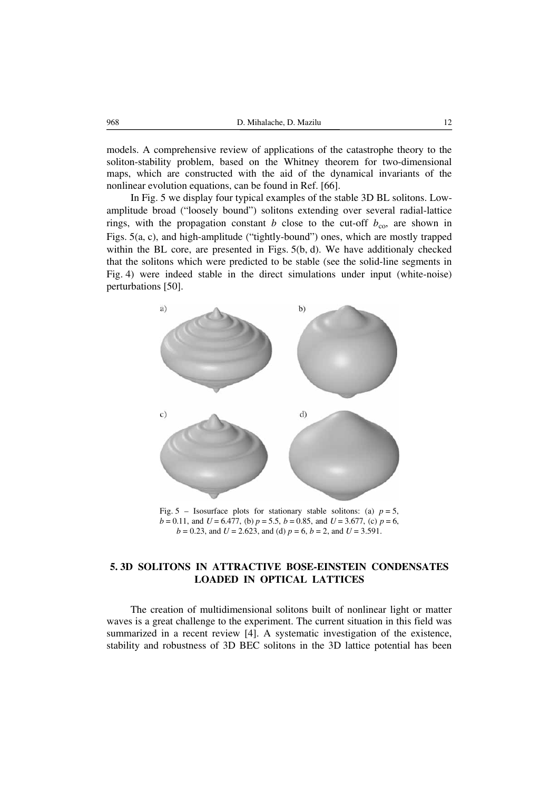models. A comprehensive review of applications of the catastrophe theory to the soliton-stability problem, based on the Whitney theorem for two-dimensional maps, which are constructed with the aid of the dynamical invariants of the nonlinear evolution equations, can be found in Ref. [66].

In Fig. 5 we display four typical examples of the stable 3D BL solitons. Lowamplitude broad ("loosely bound") solitons extending over several radial-lattice rings, with the propagation constant *b* close to the cut-off  $b_{\text{co}}$ , are shown in Figs. 5(a, c), and high-amplitude ("tightly-bound") ones, which are mostly trapped within the BL core, are presented in Figs. 5(b, d). We have additionaly checked that the solitons which were predicted to be stable (see the solid-line segments in Fig. 4) were indeed stable in the direct simulations under input (white-noise) perturbations [50].



Fig. 5 – Isosurface plots for stationary stable solitons: (a)  $p = 5$ , *b* = 0.11, and *U* = 6.477, (b) *p* = 5.5, *b* = 0.85, and *U* = 3.677, (c) *p* = 6, *b* = 0.23, and *U* = 2.623, and (d) *p* = 6, *b* = 2, and *U* = 3.591.

## **5. 3D SOLITONS IN ATTRACTIVE BOSE-EINSTEIN CONDENSATES LOADED IN OPTICAL LATTICES**

The creation of multidimensional solitons built of nonlinear light or matter waves is a great challenge to the experiment. The current situation in this field was summarized in a recent review [4]. A systematic investigation of the existence, stability and robustness of 3D BEC solitons in the 3D lattice potential has been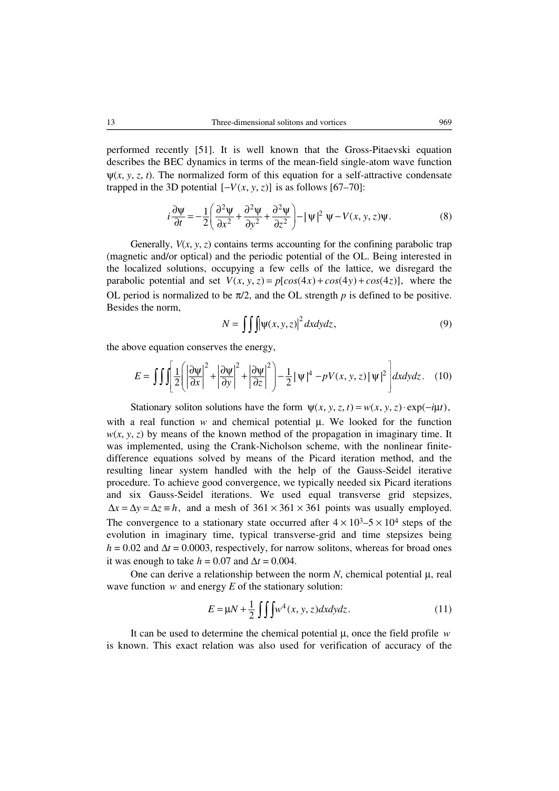performed recently [51]. It is well known that the Gross-Pitaevski equation describes the BEC dynamics in terms of the mean-field single-atom wave function  $\Psi(x, y, z, t)$ . The normalized form of this equation for a self-attractive condensate trapped in the 3D potential  $[-V(x, y, z)]$  is as follows [67–70]:

$$
i\frac{\partial \Psi}{\partial t} = -\frac{1}{2} \left( \frac{\partial^2 \Psi}{\partial x^2} + \frac{\partial^2 \Psi}{\partial y^2} + \frac{\partial^2 \Psi}{\partial z^2} \right) - |\Psi|^2 \ \Psi - V(x, y, z)\Psi. \tag{8}
$$

Generally,  $V(x, y, z)$  contains terms accounting for the confining parabolic trap (magnetic and/or optical) and the periodic potential of the OL. Being interested in the localized solutions, occupying a few cells of the lattice, we disregard the parabolic potential and set  $V(x, y, z) = p[cos(4x) + cos(4y) + cos(4z)]$ , where the OL period is normalized to be  $\pi/2$ , and the OL strength *p* is defined to be positive. Besides the norm,

$$
N = \iiint \psi(x, y, z)^2 dx dy dz,
$$
 (9)

the above equation conserves the energy,

$$
E = \iiint \left[ \frac{1}{2} \left( \left| \frac{\partial \psi}{\partial x} \right|^2 + \left| \frac{\partial \psi}{\partial y} \right|^2 + \left| \frac{\partial \psi}{\partial z} \right|^2 \right) - \frac{1}{2} |\psi|^4 - pV(x, y, z) |\psi|^2 \right] dx dy dz. \tag{10}
$$

Stationary soliton solutions have the form  $\psi(x, y, z, t) = w(x, y, z) \cdot \exp(-i\mu t)$ , with a real function *w* and chemical potential μ. We looked for the function  $w(x, y, z)$  by means of the known method of the propagation in imaginary time. It was implemented, using the Crank-Nicholson scheme, with the nonlinear finitedifference equations solved by means of the Picard iteration method, and the resulting linear system handled with the help of the Gauss-Seidel iterative procedure. To achieve good convergence, we typically needed six Picard iterations and six Gauss-Seidel iterations. We used equal transverse grid stepsizes,  $\Delta x = \Delta y = \Delta z = h$ , and a mesh of  $361 \times 361 \times 361$  points was usually employed. The convergence to a stationary state occurred after  $4 \times 10^3 - 5 \times 10^4$  steps of the evolution in imaginary time, typical transverse-grid and time stepsizes being  $h = 0.02$  and  $\Delta t = 0.0003$ , respectively, for narrow solitons, whereas for broad ones it was enough to take  $h = 0.07$  and  $\Delta t = 0.004$ .

One can derive a relationship between the norm *N*, chemical potential μ, real wave function *w* and energy *E* of the stationary solution:

$$
E = \mu N + \frac{1}{2} \int \int \int w^4(x, y, z) dx dy dz.
$$
 (11)

It can be used to determine the chemical potential μ, once the field profile *w* is known. This exact relation was also used for verification of accuracy of the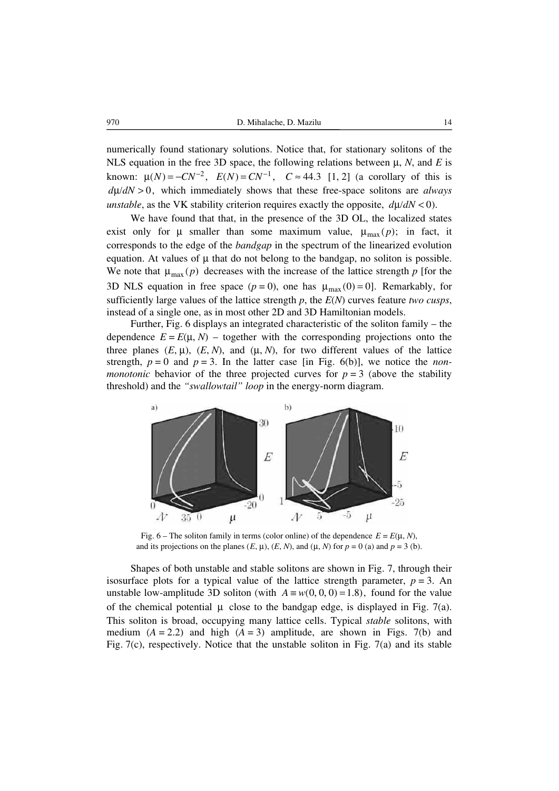numerically found stationary solutions. Notice that, for stationary solitons of the NLS equation in the free 3D space, the following relations between μ, *N*, and *E* is known:  $\mu(N) = -CN^{-2}$ ,  $E(N) = CN^{-1}$ ,  $C \approx 44.3$  [1, 2] (a corollary of this is  $d\mu/dN > 0$ , which immediately shows that these free-space solitons are *always unstable*, as the VK stability criterion requires exactly the opposite,  $d\mu/dN < 0$ .

We have found that that, in the presence of the 3D OL, the localized states exist only for  $\mu$  smaller than some maximum value,  $\mu_{\text{max}}(p)$ ; in fact, it corresponds to the edge of the *bandgap* in the spectrum of the linearized evolution equation. At values of  $\mu$  that do not belong to the bandgap, no soliton is possible. We note that  $\mu_{\text{max}}(p)$  decreases with the increase of the lattice strength p [for the 3D NLS equation in free space  $(p = 0)$ , one has  $\mu_{\text{max}}(0) = 0$ . Remarkably, for sufficiently large values of the lattice strength *p*, the *E*(*N*) curves feature *two cusps*, instead of a single one, as in most other 2D and 3D Hamiltonian models.

Further, Fig. 6 displays an integrated characteristic of the soliton family – the dependence  $E = E(\mu, N)$  – together with the corresponding projections onto the three planes  $(E, \mu)$ ,  $(E, N)$ , and  $(\mu, N)$ , for two different values of the lattice strength,  $p = 0$  and  $p = 3$ . In the latter case [in Fig. 6(b)], we notice the *nonmonotonic* behavior of the three projected curves for  $p = 3$  (above the stability threshold) and the *"swallowtail" loop* in the energy-norm diagram.



Fig. 6 – The soliton family in terms (color online) of the dependence  $E = E(\mu, N)$ , and its projections on the planes  $(E, \mu)$ ,  $(E, N)$ , and  $(\mu, N)$  for  $p = 0$  (a) and  $p = 3$  (b).

Shapes of both unstable and stable solitons are shown in Fig. 7, through their isosurface plots for a typical value of the lattice strength parameter,  $p = 3$ . An unstable low-amplitude 3D soliton (with  $A \equiv w(0, 0, 0) = 1.8$ ), found for the value of the chemical potential  $\mu$  close to the bandgap edge, is displayed in Fig. 7(a). This soliton is broad, occupying many lattice cells. Typical *stable* solitons, with medium  $(A = 2.2)$  and high  $(A = 3)$  amplitude, are shown in Figs. 7(b) and Fig. 7(c), respectively. Notice that the unstable soliton in Fig. 7(a) and its stable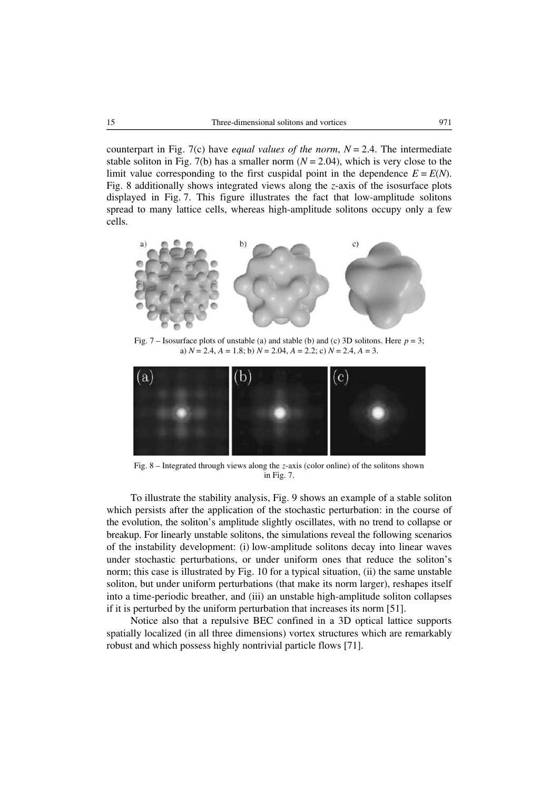counterpart in Fig. 7(c) have *equal values of the norm*,  $N = 2.4$ . The intermediate stable soliton in Fig. 7(b) has a smaller norm  $(N = 2.04)$ , which is very close to the limit value corresponding to the first cuspidal point in the dependence  $E = E(N)$ . Fig. 8 additionally shows integrated views along the *z*-axis of the isosurface plots displayed in Fig. 7. This figure illustrates the fact that low-amplitude solitons spread to many lattice cells, whereas high-amplitude solitons occupy only a few cells.



Fig. 7 – Isosurface plots of unstable (a) and stable (b) and (c) 3D solitons. Here *p* = 3; a) *N* = 2.4, *A* = 1.8; b) *N* = 2.04, *A* = 2.2; c) *N* = 2.4, *A* = 3.



Fig. 8 – Integrated through views along the *z*-axis (color online) of the solitons shown in Fig. 7.

To illustrate the stability analysis, Fig. 9 shows an example of a stable soliton which persists after the application of the stochastic perturbation: in the course of the evolution, the soliton's amplitude slightly oscillates, with no trend to collapse or breakup. For linearly unstable solitons, the simulations reveal the following scenarios of the instability development: (i) low-amplitude solitons decay into linear waves under stochastic perturbations, or under uniform ones that reduce the soliton's norm; this case is illustrated by Fig. 10 for a typical situation, (ii) the same unstable soliton, but under uniform perturbations (that make its norm larger), reshapes itself into a time-periodic breather, and (iii) an unstable high-amplitude soliton collapses if it is perturbed by the uniform perturbation that increases its norm [51].

Notice also that a repulsive BEC confined in a 3D optical lattice supports spatially localized (in all three dimensions) vortex structures which are remarkably robust and which possess highly nontrivial particle flows [71].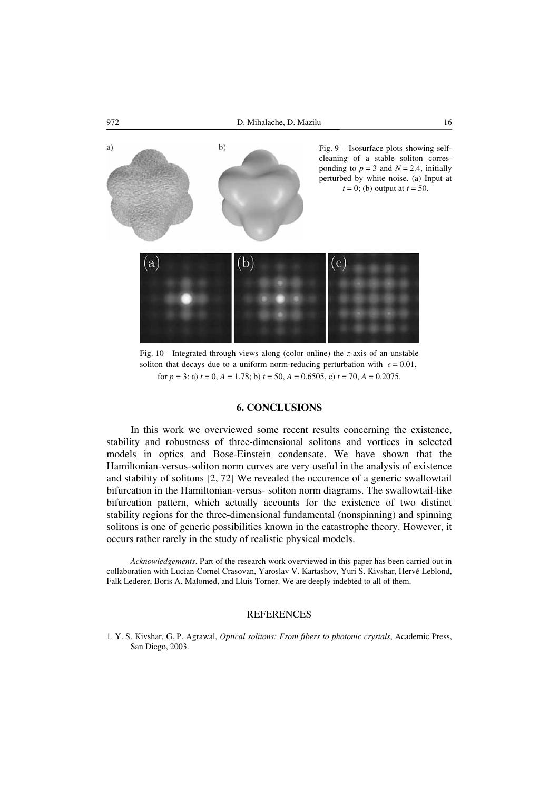

Fig. 10 – Integrated through views along (color online) the *z*-axis of an unstable soliton that decays due to a uniform norm-reducing perturbation with  $\epsilon = 0.01$ , for  $p = 3$ : a)  $t = 0$ ,  $A = 1.78$ ; b)  $t = 50$ ,  $A = 0.6505$ , c)  $t = 70$ ,  $A = 0.2075$ .

#### **6. CONCLUSIONS**

In this work we overviewed some recent results concerning the existence, stability and robustness of three-dimensional solitons and vortices in selected models in optics and Bose-Einstein condensate. We have shown that the Hamiltonian-versus-soliton norm curves are very useful in the analysis of existence and stability of solitons [2, 72] We revealed the occurence of a generic swallowtail bifurcation in the Hamiltonian-versus- soliton norm diagrams. The swallowtail-like bifurcation pattern, which actually accounts for the existence of two distinct stability regions for the three-dimensional fundamental (nonspinning) and spinning solitons is one of generic possibilities known in the catastrophe theory. However, it occurs rather rarely in the study of realistic physical models.

*Acknowledgements*. Part of the research work overviewed in this paper has been carried out in collaboration with Lucian-Cornel Crasovan, Yaroslav V. Kartashov, Yuri S. Kivshar, Hervé Leblond, Falk Lederer, Boris A. Malomed, and Lluis Torner. We are deeply indebted to all of them.

#### **REFERENCES**

1. Y. S. Kivshar, G. P. Agrawal, *Optical solitons: From fibers to photonic crystals*, Academic Press, San Diego, 2003.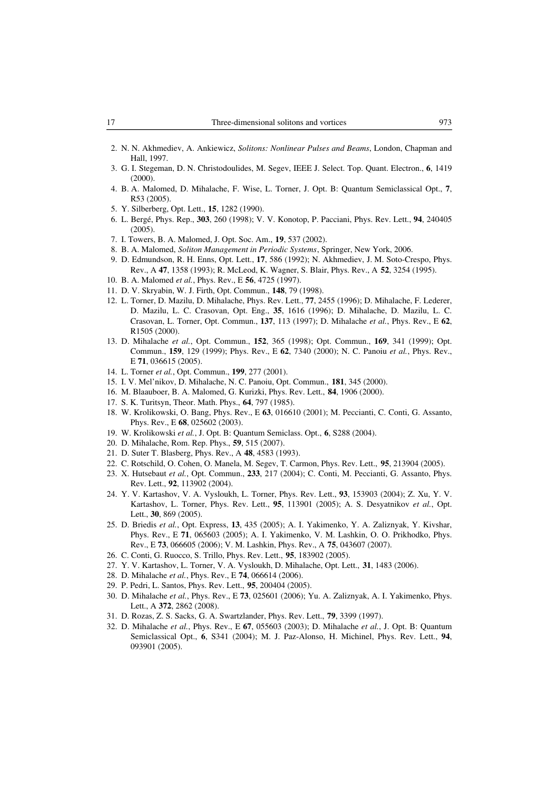- 2. N. N. Akhmediev, A. Ankiewicz, *Solitons: Nonlinear Pulses and Beams*, London, Chapman and Hall, 1997.
- 3. G. I. Stegeman, D. N. Christodoulides, M. Segev, IEEE J. Select. Top. Quant. Electron., **6**, 1419 (2000).
- 4. B. A. Malomed, D. Mihalache, F. Wise, L. Torner, J. Opt. B: Quantum Semiclassical Opt., **7**, R53 (2005).
- 5. Y. Silberberg, Opt. Lett., **15**, 1282 (1990).
- 6. L. Bergé, Phys. Rep., **303**, 260 (1998); V. V. Konotop, P. Pacciani, Phys. Rev. Lett., **94**, 240405 (2005).
- 7. I. Towers, B. A. Malomed, J. Opt. Soc. Am., **19**, 537 (2002).
- 8. B. A. Malomed, *Soliton Management in Periodic Systems*, Springer, New York, 2006.
- 9. D. Edmundson, R. H. Enns, Opt. Lett., **17**, 586 (1992); N. Akhmediev, J. M. Soto-Crespo, Phys. Rev., A **47**, 1358 (1993); R. McLeod, K. Wagner, S. Blair, Phys. Rev., A **52**, 3254 (1995).
- 10. B. A. Malomed *et al.*, Phys. Rev., E **56**, 4725 (1997).
- 11. D. V. Skryabin, W. J. Firth, Opt. Commun., **148**, 79 (1998).
- 12. L. Torner, D. Mazilu, D. Mihalache, Phys. Rev. Lett., **77**, 2455 (1996); D. Mihalache, F. Lederer, D. Mazilu, L. C. Crasovan, Opt. Eng., **35**, 1616 (1996); D. Mihalache, D. Mazilu, L. C. Crasovan, L. Torner, Opt. Commun., **137**, 113 (1997); D. Mihalache *et al.*, Phys. Rev., E **62**, R1505 (2000).
- 13. D. Mihalache *et al.*, Opt. Commun., **152**, 365 (1998); Opt. Commun., **169**, 341 (1999); Opt. Commun., **159**, 129 (1999); Phys. Rev., E **62**, 7340 (2000); N. C. Panoiu *et al.*, Phys. Rev., E **71**, 036615 (2005).
- 14. L. Torner *et al.*, Opt. Commun., **199**, 277 (2001).
- 15. I. V. Mel'nikov, D. Mihalache, N. C. Panoiu, Opt. Commun., **181**, 345 (2000).
- 16. M. Blaauboer, B. A. Malomed, G. Kurizki, Phys. Rev. Lett., **84**, 1906 (2000).
- 17. S. K. Turitsyn, Theor. Math. Phys., **64**, 797 (1985).
- 18. W. Krolikowski, O. Bang, Phys. Rev., E **63**, 016610 (2001); M. Peccianti, C. Conti, G. Assanto, Phys. Rev., E **68**, 025602 (2003).
- 19. W. Krolikowski *et al.*, J. Opt. B: Quantum Semiclass. Opt., **6**, S288 (2004).
- 20. D. Mihalache, Rom. Rep. Phys., **59**, 515 (2007).
- 21. D. Suter T. Blasberg, Phys. Rev., A **48**, 4583 (1993).
- 22. C. Rotschild, O. Cohen, O. Manela, M. Segev, T. Carmon, Phys. Rev. Lett., **95**, 213904 (2005).
- 23. X. Hutsebaut *et al.*, Opt. Commun., **233**, 217 (2004); C. Conti, M. Peccianti, G. Assanto, Phys. Rev. Lett., **92**, 113902 (2004).
- 24. Y. V. Kartashov, V. A. Vysloukh, L. Torner, Phys. Rev. Lett., **93**, 153903 (2004); Z. Xu, Y. V. Kartashov, L. Torner, Phys. Rev. Lett., **95**, 113901 (2005); A. S. Desyatnikov *et al.*, Opt. Lett., **30**, 869 (2005).
- 25. D. Briedis *et al.*, Opt. Express, **13**, 435 (2005); A. I. Yakimenko, Y. A. Zaliznyak, Y. Kivshar, Phys. Rev., E **71**, 065603 (2005); A. I. Yakimenko, V. M. Lashkin, O. O. Prikhodko, Phys. Rev., E **73**, 066605 (2006); V. M. Lashkin, Phys. Rev., A **75**, 043607 (2007).
- 26. C. Conti, G. Ruocco, S. Trillo, Phys. Rev. Lett., **95**, 183902 (2005).
- 27. Y. V. Kartashov, L. Torner, V. A. Vysloukh, D. Mihalache, Opt. Lett., **31**, 1483 (2006).
- 28. D. Mihalache *et al.*, Phys. Rev., E **74**, 066614 (2006).
- 29. P. Pedri, L. Santos, Phys. Rev. Lett., **95**, 200404 (2005).
- 30. D. Mihalache *et al.*, Phys. Rev., E **73**, 025601 (2006); Yu. A. Zaliznyak, A. I. Yakimenko, Phys. Lett., A **372**, 2862 (2008).
- 31. D. Rozas, Z. S. Sacks, G. A. Swartzlander, Phys. Rev. Lett., **79**, 3399 (1997).
- 32. D. Mihalache *et al.*, Phys. Rev., E **67**, 055603 (2003); D. Mihalache *et al.*, J. Opt. B: Quantum Semiclassical Opt., **6**, S341 (2004); M. J. Paz-Alonso, H. Michinel, Phys. Rev. Lett., **94**, 093901 (2005).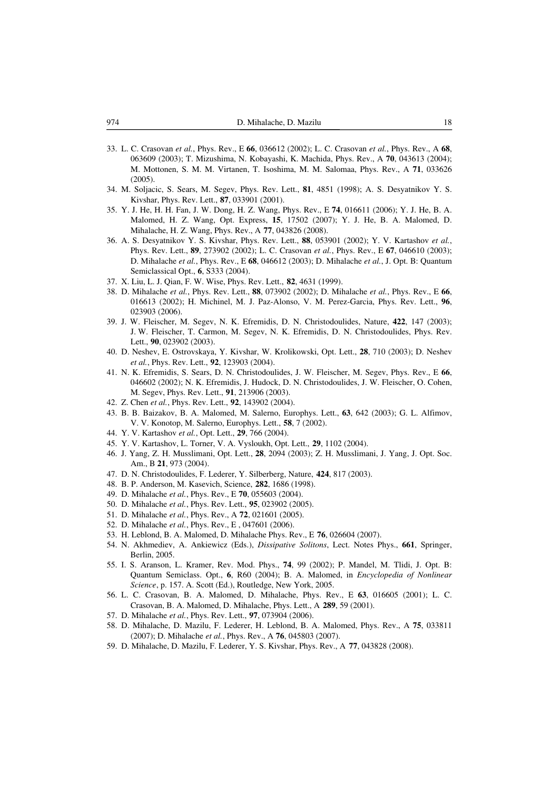- 33. L. C. Crasovan *et al.*, Phys. Rev., E **66**, 036612 (2002); L. C. Crasovan *et al.*, Phys. Rev., A **68**, 063609 (2003); T. Mizushima, N. Kobayashi, K. Machida, Phys. Rev., A **70**, 043613 (2004); M. Mottonen, S. M. M. Virtanen, T. Isoshima, M. M. Salomaa, Phys. Rev., A **71**, 033626 (2005).
- 34. M. Soljacic, S. Sears, M. Segev, Phys. Rev. Lett., **81**, 4851 (1998); A. S. Desyatnikov Y. S. Kivshar, Phys. Rev. Lett., **87**, 033901 (2001).
- 35. Y. J. He, H. H. Fan, J. W. Dong, H. Z. Wang, Phys. Rev., E **74**, 016611 (2006); Y. J. He, B. A. Malomed, H. Z. Wang, Opt. Express, **15**, 17502 (2007); Y. J. He, B. A. Malomed, D. Mihalache, H. Z. Wang, Phys. Rev., A **77**, 043826 (2008).
- 36. A. S. Desyatnikov Y. S. Kivshar, Phys. Rev. Lett., **88**, 053901 (2002); Y. V. Kartashov *et al.*, Phys. Rev. Lett., **89**, 273902 (2002); L. C. Crasovan *et al.*, Phys. Rev., E **67**, 046610 (2003); D. Mihalache *et al.*, Phys. Rev., E **68**, 046612 (2003); D. Mihalache *et al.*, J. Opt. B: Quantum Semiclassical Opt., **6**, S333 (2004).
- 37. X. Liu, L. J. Qian, F. W. Wise, Phys. Rev. Lett., **82**, 4631 (1999).
- 38. D. Mihalache *et al.*, Phys. Rev. Lett., **88**, 073902 (2002); D. Mihalache *et al.*, Phys. Rev., E **66**, 016613 (2002); H. Michinel, M. J. Paz-Alonso, V. M. Perez-Garcia, Phys. Rev. Lett., **96**, 023903 (2006).
- 39. J. W. Fleischer, M. Segev, N. K. Efremidis, D. N. Christodoulides, Nature, **422**, 147 (2003); J. W. Fleischer, T. Carmon, M. Segev, N. K. Efremidis, D. N. Christodoulides, Phys. Rev. Lett., **90**, 023902 (2003).
- 40. D. Neshev, E. Ostrovskaya, Y. Kivshar, W. Krolikowski, Opt. Lett., **28**, 710 (2003); D. Neshev *et al.*, Phys. Rev. Lett., **92**, 123903 (2004).
- 41. N. K. Efremidis, S. Sears, D. N. Christodoulides, J. W. Fleischer, M. Segev, Phys. Rev., E **66**, 046602 (2002); N. K. Efremidis, J. Hudock, D. N. Christodoulides, J. W. Fleischer, O. Cohen, M. Segev, Phys. Rev. Lett., **91**, 213906 (2003).
- 42. Z. Chen *et al.*, Phys. Rev. Lett., **92**, 143902 (2004).
- 43. B. B. Baizakov, B. A. Malomed, M. Salerno, Europhys. Lett., **63**, 642 (2003); G. L. Alfimov, V. V. Konotop, M. Salerno, Europhys. Lett., **58**, 7 (2002).
- 44. Y. V. Kartashov *et al.*, Opt. Lett., **29**, 766 (2004).
- 45. Y. V. Kartashov, L. Torner, V. A. Vysloukh, Opt. Lett., **29**, 1102 (2004).
- 46. J. Yang, Z. H. Musslimani, Opt. Lett., **28**, 2094 (2003); Z. H. Musslimani, J. Yang, J. Opt. Soc. Am., B **21**, 973 (2004).
- 47. D. N. Christodoulides, F. Lederer, Y. Silberberg, Nature, **424**, 817 (2003).
- 48. B. P. Anderson, M. Kasevich, Science, **282**, 1686 (1998).
- 49. D. Mihalache *et al.*, Phys. Rev., E **70**, 055603 (2004).
- 50. D. Mihalache *et al.*, Phys. Rev. Lett., **95**, 023902 (2005).
- 51. D. Mihalache *et al.*, Phys. Rev., A **72**, 021601 (2005).
- 52. D. Mihalache *et al.*, Phys. Rev., E , 047601 (2006).
- 53. H. Leblond, B. A. Malomed, D. Mihalache Phys. Rev., E **76**, 026604 (2007).
- 54. N. Akhmediev, A. Ankiewicz (Eds.), *Dissipative Solitons*, Lect. Notes Phys., **661**, Springer, Berlin, 2005.
- 55. I. S. Aranson, L. Kramer, Rev. Mod. Phys., **74**, 99 (2002); P. Mandel, M. Tlidi, J. Opt. B: Quantum Semiclass. Opt., **6**, R60 (2004); B. A. Malomed, in *Encyclopedia of Nonlinear Science*, p. 157. A. Scott (Ed.), Routledge, New York, 2005.
- 56. L. C. Crasovan, B. A. Malomed, D. Mihalache, Phys. Rev., E **63**, 016605 (2001); L. C. Crasovan, B. A. Malomed, D. Mihalache, Phys. Lett., A **289**, 59 (2001).
- 57. D. Mihalache *et al.*, Phys. Rev. Lett., **97**, 073904 (2006).
- 58. D. Mihalache, D. Mazilu, F. Lederer, H. Leblond, B. A. Malomed, Phys. Rev., A **75**, 033811 (2007); D. Mihalache *et al.*, Phys. Rev., A **76**, 045803 (2007).
- 59. D. Mihalache, D. Mazilu, F. Lederer, Y. S. Kivshar, Phys. Rev., A **77**, 043828 (2008).